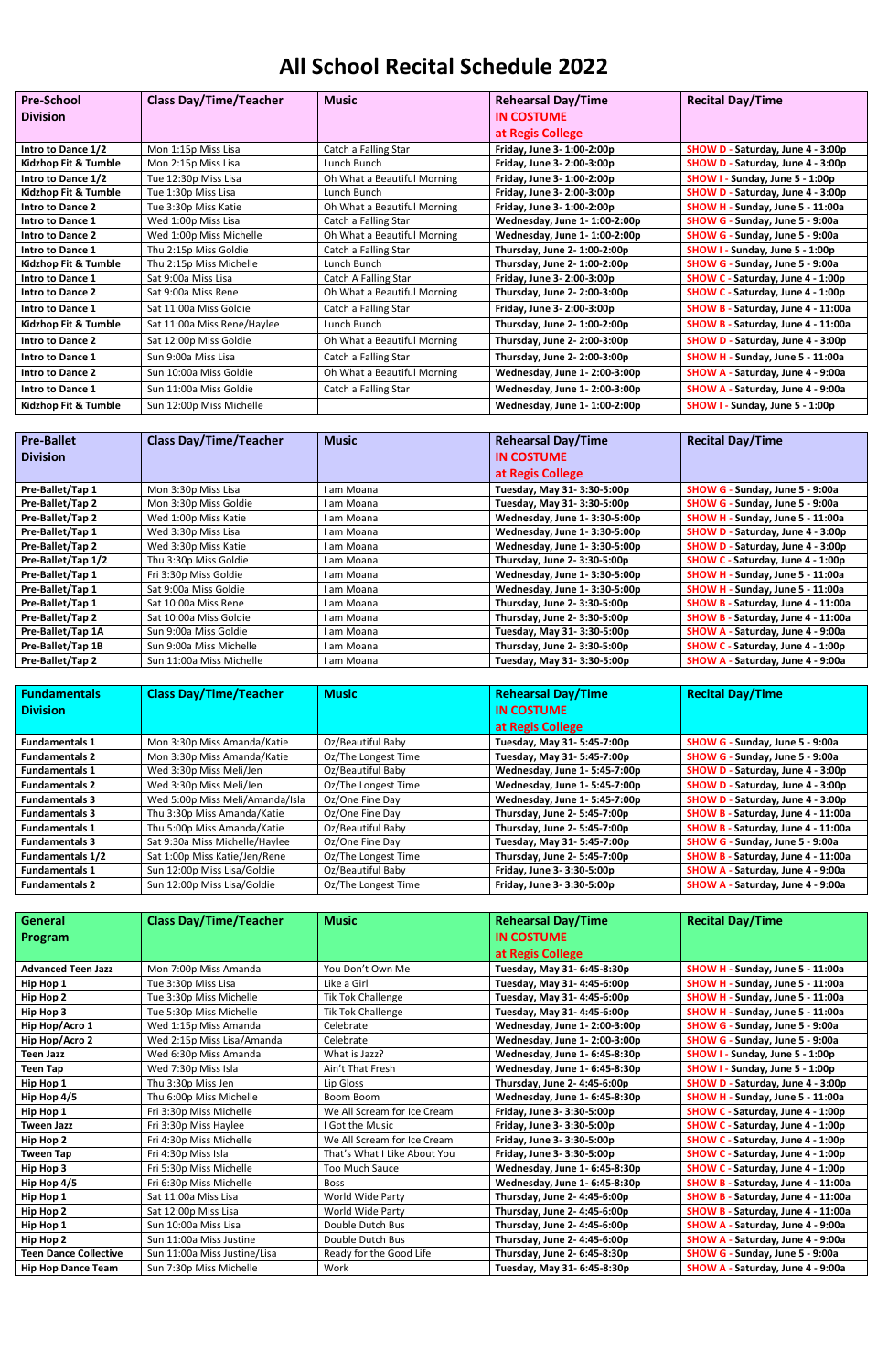## **All School Recital Schedule 2022**

| <b>Pre-School</b>       | <b>Class Day/Time/Teacher</b> | <b>Music</b>                | <b>Rehearsal Day/Time</b>     | <b>Recital Day/Time</b>                    |
|-------------------------|-------------------------------|-----------------------------|-------------------------------|--------------------------------------------|
| <b>Division</b>         |                               |                             | <b>IN COSTUME</b>             |                                            |
|                         |                               |                             | at Regis College              |                                            |
| Intro to Dance 1/2      | Mon 1:15p Miss Lisa           | Catch a Falling Star        | Friday, June 3- 1:00-2:00p    | SHOW D - Saturday, June 4 - 3:00p          |
| Kidzhop Fit & Tumble    | Mon 2:15p Miss Lisa           | Lunch Bunch                 | Friday, June 3- 2:00-3:00p    | SHOW D - Saturday, June 4 - 3:00p          |
| Intro to Dance 1/2      | Tue 12:30p Miss Lisa          | Oh What a Beautiful Morning | Friday, June 3- 1:00-2:00p    | - Sunday, June 5 - 1:00p<br><b>SHOW I</b>  |
| Kidzhop Fit & Tumble    | Tue 1:30p Miss Lisa           | Lunch Bunch                 | Friday, June 3- 2:00-3:00p    | SHOW D - Saturday, June 4 - 3:00p          |
| <b>Intro to Dance 2</b> | Tue 3:30p Miss Katie          | Oh What a Beautiful Morning | Friday, June 3- 1:00-2:00p    | - Sunday, June 5 - 11:00a<br><b>SHOW H</b> |
| Intro to Dance 1        | Wed 1:00p Miss Lisa           | Catch a Falling Star        | Wednesday, June 1-1:00-2:00p  | SHOW G - Sunday, June 5 - 9:00a            |
| <b>Intro to Dance 2</b> | Wed 1:00p Miss Michelle       | Oh What a Beautiful Morning | Wednesday, June 1- 1:00-2:00p | SHOW G - Sunday, June 5 - 9:00a            |
| Intro to Dance 1        | Thu 2:15p Miss Goldie         | Catch a Falling Star        | Thursday, June 2- 1:00-2:00p  | - Sunday, June 5 - 1:00p<br><b>SHOW I</b>  |
| Kidzhop Fit & Tumble    | Thu 2:15p Miss Michelle       | Lunch Bunch                 | Thursday, June 2- 1:00-2:00p  | SHOW G - Sunday, June 5 - 9:00a            |
| Intro to Dance 1        | Sat 9:00a Miss Lisa           | Catch A Falling Star        | Friday, June 3- 2:00-3:00p    | SHOW C - Saturday, June 4 - 1:00p          |
| <b>Intro to Dance 2</b> | Sat 9:00a Miss Rene           | Oh What a Beautiful Morning | Thursday, June 2- 2:00-3:00p  | SHOW C - Saturday, June 4 - 1:00p          |
| Intro to Dance 1        | Sat 11:00a Miss Goldie        | Catch a Falling Star        | Friday, June 3- 2:00-3:00p    | SHOW B - Saturday, June 4 - 11:00a         |
| Kidzhop Fit & Tumble    | Sat 11:00a Miss Rene/Haylee   | Lunch Bunch                 | Thursday, June 2- 1:00-2:00p  | SHOW B - Saturday, June 4 - 11:00a         |
| <b>Intro to Dance 2</b> | Sat 12:00p Miss Goldie        | Oh What a Beautiful Morning | Thursday, June 2- 2:00-3:00p  | SHOW D - Saturday, June 4 - 3:00p          |
| Intro to Dance 1        | Sun 9:00a Miss Lisa           | Catch a Falling Star        | Thursday, June 2- 2:00-3:00p  | - Sunday, June 5 - 11:00a<br><b>SHOW H</b> |
| <b>Intro to Dance 2</b> | Sun 10:00a Miss Goldie        | Oh What a Beautiful Morning | Wednesday, June 1-2:00-3:00p  | SHOW A - Saturday, June 4 - 9:00a          |
| Intro to Dance 1        | Sun 11:00a Miss Goldie        | Catch a Falling Star        | Wednesday, June 1-2:00-3:00p  | SHOW A - Saturday, June 4 - 9:00a          |
| Kidzhop Fit & Tumble    | Sun 12:00p Miss Michelle      |                             | Wednesday, June 1-1:00-2:00p  | SHOW I - Sunday, June 5 - 1:00p            |

| <b>Pre-Ballet</b>  | <b>Class Day/Time/Teacher</b> | <b>Music</b> | <b>Rehearsal Day/Time</b>    | <b>Recital Day/Time</b>                     |
|--------------------|-------------------------------|--------------|------------------------------|---------------------------------------------|
| <b>Division</b>    |                               |              | <b>IN COSTUME</b>            |                                             |
|                    |                               |              | at Regis College             |                                             |
| Pre-Ballet/Tap 1   | Mon 3:30p Miss Lisa           | am Moana     | Tuesday, May 31- 3:30-5:00p  | SHOW G - Sunday, June 5 - 9:00a             |
| Pre-Ballet/Tap 2   | Mon 3:30p Miss Goldie         | l am Moana   | Tuesday, May 31- 3:30-5:00p  | SHOW G - Sunday, June 5 - 9:00a             |
| Pre-Ballet/Tap 2   | Wed 1:00p Miss Katie          | l am Moana   | Wednesday, June 1-3:30-5:00p | - Sunday, June 5 - 11:00a<br><b>SHOW H</b>  |
| Pre-Ballet/Tap 1   | Wed 3:30p Miss Lisa           | l am Moana   | Wednesday, June 1-3:30-5:00p | SHOW D - Saturday, June 4 - 3:00p           |
| Pre-Ballet/Tap 2   | Wed 3:30p Miss Katie          | l am Moana   | Wednesday, June 1-3:30-5:00p | SHOW D - Saturday, June 4 - 3:00p           |
| Pre-Ballet/Tap 1/2 | Thu 3:30p Miss Goldie         | am Moana     | Thursday, June 2- 3:30-5:00p | SHOW C - Saturday, June 4 - 1:00p           |
| Pre-Ballet/Tap 1   | Fri 3:30p Miss Goldie         | l am Moana   | Wednesday, June 1-3:30-5:00p | - Sunday, June 5 - 11:00a<br><b>SHOW H</b>  |
| Pre-Ballet/Tap 1   | Sat 9:00a Miss Goldie         | am Moana     | Wednesday, June 1-3:30-5:00p | - Sunday, June 5 - 11:00a<br><b>SHOW H</b>  |
| Pre-Ballet/Tap 1   | Sat 10:00a Miss Rene          | l am Moana   | Thursday, June 2- 3:30-5:00p | SHOW B - Saturday, June 4 - 11:00a          |
| Pre-Ballet/Tap 2   | Sat 10:00a Miss Goldie        | am Moana     | Thursday, June 2- 3:30-5:00p | SHOW B - Saturday, June 4 - 11:00a          |
| Pre-Ballet/Tap 1A  | Sun 9:00a Miss Goldie         | l am Moana   | Tuesday, May 31- 3:30-5:00p  | - Saturday, June 4 - 9:00a<br><b>SHOW A</b> |
| Pre-Ballet/Tap 1B  | Sun 9:00a Miss Michelle       | am Moana     | Thursday, June 2- 3:30-5:00p | SHOW C - Saturday, June 4 - 1:00p           |
| Pre-Ballet/Tap 2   | Sun 11:00a Miss Michelle      | l am Moana   | Tuesday, May 31- 3:30-5:00p  | SHOW A - Saturday, June 4 - 9:00a           |

| <b>Fundamentals</b>     | <b>Class Day/Time/Teacher</b>   | <b>Music</b>        | <b>Rehearsal Day/Time</b>     | <b>Recital Day/Time</b>            |
|-------------------------|---------------------------------|---------------------|-------------------------------|------------------------------------|
| <b>Division</b>         |                                 |                     | <b>IN COSTUME</b>             |                                    |
|                         |                                 |                     | at Regis College              |                                    |
| <b>Fundamentals 1</b>   | Mon 3:30p Miss Amanda/Katie     | Oz/Beautiful Baby   | Tuesday, May 31- 5:45-7:00p   | SHOW G - Sunday, June 5 - 9:00a    |
| <b>Fundamentals 2</b>   | Mon 3:30p Miss Amanda/Katie     | Oz/The Longest Time | Tuesday, May 31- 5:45-7:00p   | SHOW G - Sunday, June 5 - 9:00a    |
| <b>Fundamentals 1</b>   | Wed 3:30p Miss Meli/Jen         | Oz/Beautiful Baby   | Wednesday, June 1-5:45-7:00p  | SHOW D - Saturday, June 4 - 3:00p  |
| <b>Fundamentals 2</b>   | Wed 3:30p Miss Meli/Jen         | Oz/The Longest Time | Wednesday, June 1- 5:45-7:00p | SHOW D - Saturday, June 4 - 3:00p  |
| <b>Fundamentals 3</b>   | Wed 5:00p Miss Meli/Amanda/Isla | Oz/One Fine Day     | Wednesday, June 1-5:45-7:00p  | SHOW D - Saturday, June 4 - 3:00p  |
| <b>Fundamentals 3</b>   | Thu 3:30p Miss Amanda/Katie     | Oz/One Fine Day     | Thursday, June 2- 5:45-7:00p  | SHOW B - Saturday, June 4 - 11:00a |
| <b>Fundamentals 1</b>   | Thu 5:00p Miss Amanda/Katie     | Oz/Beautiful Baby   | Thursday, June 2-5:45-7:00p   | SHOW B - Saturday, June 4 - 11:00a |
| <b>Fundamentals 3</b>   | Sat 9:30a Miss Michelle/Haylee  | Oz/One Fine Day     | Tuesday, May 31- 5:45-7:00p   | SHOW G - Sunday, June 5 - 9:00a    |
| <b>Fundamentals 1/2</b> | Sat 1:00p Miss Katie/Jen/Rene   | Oz/The Longest Time | Thursday, June 2- 5:45-7:00p  | SHOW B - Saturday, June 4 - 11:00a |
| <b>Fundamentals 1</b>   | Sun 12:00p Miss Lisa/Goldie     | Oz/Beautiful Baby   | Friday, June 3-3:30-5:00p     | SHOW A - Saturday, June 4 - 9:00a  |
| <b>Fundamentals 2</b>   | Sun 12:00p Miss Lisa/Goldie     | Oz/The Longest Time | Friday, June 3-3:30-5:00p     | SHOW A - Saturday, June 4 - 9:00a  |

| General                      | <b>Class Day/Time/Teacher</b> | <b>Music</b>                 | <b>Rehearsal Day/Time</b>     | <b>Recital Day/Time</b>                      |
|------------------------------|-------------------------------|------------------------------|-------------------------------|----------------------------------------------|
| <b>Program</b>               |                               |                              | <b>IN COSTUME</b>             |                                              |
|                              |                               |                              | at Regis College              |                                              |
| <b>Advanced Teen Jazz</b>    | Mon 7:00p Miss Amanda         | You Don't Own Me             | Tuesday, May 31- 6:45-8:30p   | SHOW H - Sunday, June 5 - 11:00a             |
| Hip Hop 1                    | Tue 3:30p Miss Lisa           | Like a Girl                  | Tuesday, May 31-4:45-6:00p    | SHOW H - Sunday, June 5 - 11:00a             |
| Hip Hop 2                    | Tue 3:30p Miss Michelle       | <b>Tik Tok Challenge</b>     | Tuesday, May 31-4:45-6:00p    | SHOW H - Sunday, June 5 - 11:00a             |
| Hip Hop 3                    | Tue 5:30p Miss Michelle       | Tik Tok Challenge            | Tuesday, May 31- 4:45-6:00p   | <b>SHOW H</b><br>- Sunday, June 5 - 11:00a   |
| Hip Hop/Acro 1               | Wed 1:15p Miss Amanda         | Celebrate                    | Wednesday, June 1-2:00-3:00p  | <b>SHOW G</b><br>- Sunday, June 5 - 9:00a    |
| Hip Hop/Acro 2               | Wed 2:15p Miss Lisa/Amanda    | Celebrate                    | Wednesday, June 1-2:00-3:00p  | <b>SHOW G</b><br>Sunday, June 5 - 9:00a      |
| <b>Teen Jazz</b>             | Wed 6:30p Miss Amanda         | What is Jazz?                | Wednesday, June 1- 6:45-8:30p | SHOW I - Sunday, June 5 - 1:00p              |
| <b>Teen Tap</b>              | Wed 7:30p Miss Isla           | Ain't That Fresh             | Wednesday, June 1-6:45-8:30p  | <b>SHOW I</b><br>Sunday, June 5 - 1:00p      |
| Hip Hop 1                    | Thu 3:30p Miss Jen            | Lip Gloss                    | Thursday, June 2-4:45-6:00p   | <b>SHOW D</b><br>Saturday, June 4 - 3:00p    |
| Hip Hop 4/5                  | Thu 6:00p Miss Michelle       | Boom Boom                    | Wednesday, June 1-6:45-8:30p  | <b>SHOW H</b><br>Sunday, June 5 - 11:00a     |
| Hip Hop 1                    | Fri 3:30p Miss Michelle       | We All Scream for Ice Cream  | Friday, June 3- 3:30-5:00p    | SHOW C - Saturday, June 4 - 1:00p            |
| <b>Tween Jazz</b>            | Fri 3:30p Miss Haylee         | I Got the Music              | Friday, June 3- 3:30-5:00p    | SHOW C - Saturday, June 4 - 1:00p            |
| Hip Hop 2                    | Fri 4:30p Miss Michelle       | We All Scream for Ice Cream  | Friday, June 3- 3:30-5:00p    | SHOW C - Saturday, June 4 - 1:00p            |
| <b>Tween Tap</b>             | Fri 4:30p Miss Isla           | That's What I Like About You | Friday, June 3- 3:30-5:00p    | SHOW C - Saturday, June 4 - 1:00p            |
| Hip Hop 3                    | Fri 5:30p Miss Michelle       | Too Much Sauce               | Wednesday, June 1-6:45-8:30p  | SHOW C - Saturday, June 4 - 1:00p            |
| Hip Hop 4/5                  | Fri 6:30p Miss Michelle       | <b>Boss</b>                  | Wednesday, June 1- 6:45-8:30p | <b>SHOW B</b><br>- Saturday, June 4 - 11:00a |
| Hip Hop 1                    | Sat 11:00a Miss Lisa          | World Wide Party             | Thursday, June 2-4:45-6:00p   | <b>SHOW B</b><br>- Saturday, June 4 - 11:00a |
| Hip Hop 2                    | Sat 12:00p Miss Lisa          | World Wide Party             | Thursday, June 2-4:45-6:00p   | <b>SHOW B</b><br>- Saturday, June 4 - 11:00a |
| Hip Hop 1                    | Sun 10:00a Miss Lisa          | Double Dutch Bus             | Thursday, June 2-4:45-6:00p   | Saturday, June 4 - 9:00a<br><b>SHOW A</b>    |
| Hip Hop 2                    | Sun 11:00a Miss Justine       | Double Dutch Bus             | Thursday, June 2-4:45-6:00p   | - Saturday, June 4 - 9:00a<br><b>SHOW A</b>  |
| <b>Teen Dance Collective</b> | Sun 11:00a Miss Justine/Lisa  | Ready for the Good Life      | Thursday, June 2- 6:45-8:30p  | Sunday, June 5 - 9:00a<br><b>SHOW G</b>      |
| <b>Hip Hop Dance Team</b>    | Sun 7:30p Miss Michelle       | Work                         | Tuesday, May 31- 6:45-8:30p   | SHOW A - Saturday, June 4 - 9:00a            |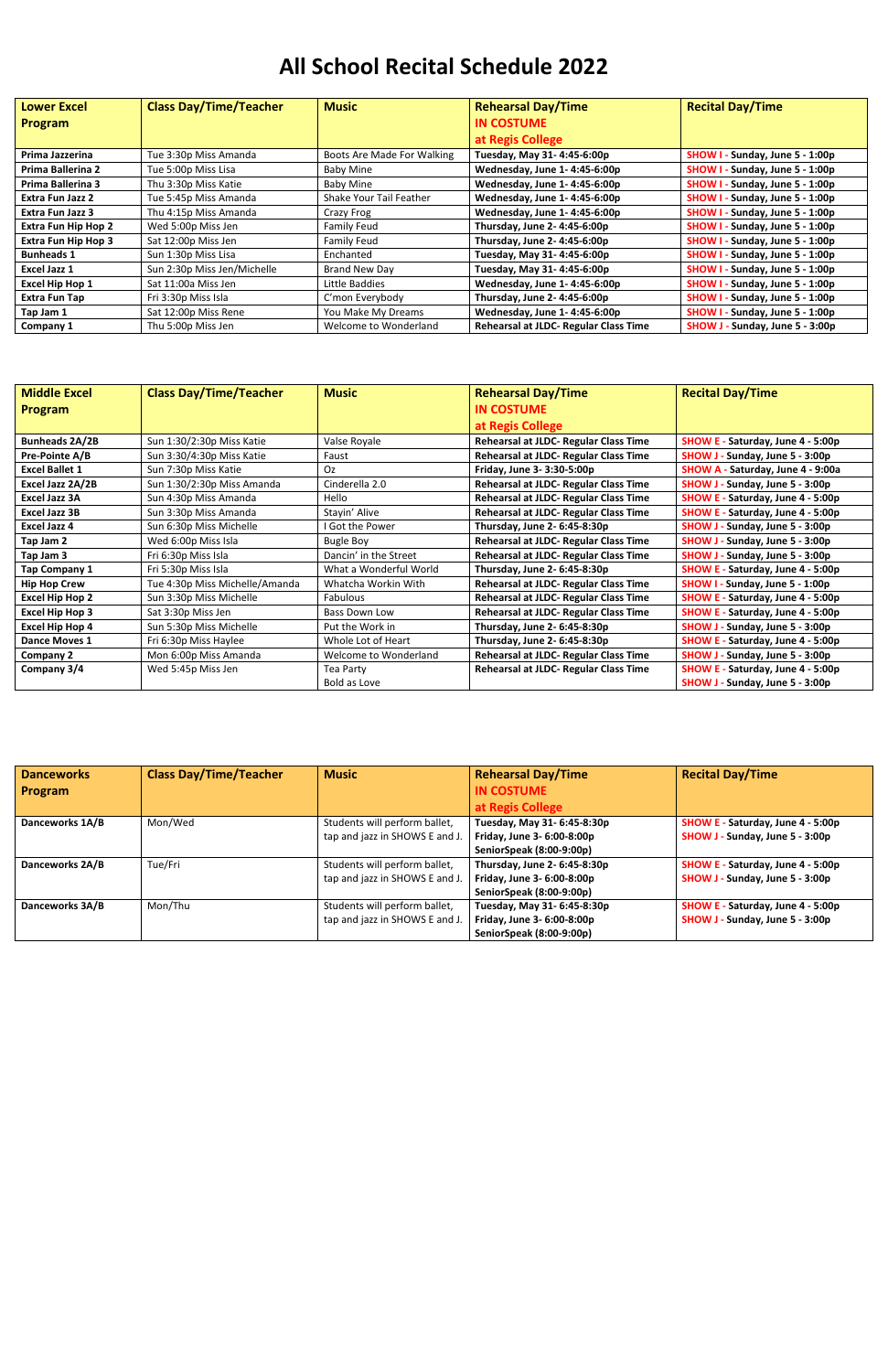## **All School Recital Schedule 2022**

| <b>Lower Excel</b>         | <b>Class Day/Time/Teacher</b> | <b>Music</b>               | <b>Rehearsal Day/Time</b>             | <b>Recital Day/Time</b>                   |
|----------------------------|-------------------------------|----------------------------|---------------------------------------|-------------------------------------------|
| <b>Program</b>             |                               |                            | <b>IN COSTUME</b>                     |                                           |
|                            |                               |                            | at Regis College                      |                                           |
| Prima Jazzerina            | Tue 3:30p Miss Amanda         | Boots Are Made For Walking | Tuesday, May 31-4:45-6:00p            | SHOW I - Sunday, June 5 - 1:00p           |
| Prima Ballerina 2          | Tue 5:00p Miss Lisa           | Baby Mine                  | Wednesday, June 1-4:45-6:00p          | - Sunday, June 5 - 1:00p<br><b>SHOW I</b> |
| <b>Prima Ballerina 3</b>   | Thu 3:30p Miss Katie          | Baby Mine                  | Wednesday, June 1-4:45-6:00p          | - Sunday, June 5 - 1:00p<br><b>SHOW I</b> |
| <b>Extra Fun Jazz 2</b>    | Tue 5:45p Miss Amanda         | Shake Your Tail Feather    | Wednesday, June 1-4:45-6:00p          | - Sunday, June 5 - 1:00p<br><b>SHOW I</b> |
| Extra Fun Jazz 3           | Thu 4:15p Miss Amanda         | Crazy Frog                 | Wednesday, June 1-4:45-6:00p          | - Sunday, June 5 - 1:00p<br><b>SHOW I</b> |
| <b>Extra Fun Hip Hop 2</b> | Wed 5:00p Miss Jen            | Family Feud                | Thursday, June 2-4:45-6:00p           | - Sunday, June 5 - 1:00p<br><b>SHOW I</b> |
| <b>Extra Fun Hip Hop 3</b> | Sat 12:00p Miss Jen           | Family Feud                | Thursday, June 2-4:45-6:00p           | - Sunday, June 5 - 1:00p<br><b>SHOW I</b> |
| <b>Bunheads 1</b>          | Sun 1:30p Miss Lisa           | Enchanted                  | Tuesday, May 31-4:45-6:00p            | Sunday, June 5 - 1:00p<br><b>SHOW I</b>   |
| Excel Jazz 1               | Sun 2:30p Miss Jen/Michelle   | Brand New Day              | Tuesday, May 31-4:45-6:00p            | - Sunday, June 5 - 1:00p<br><b>SHOW I</b> |
| <b>Excel Hip Hop 1</b>     | Sat 11:00a Miss Jen           | Little Baddies             | Wednesday, June 1-4:45-6:00p          | - Sunday, June 5 - 1:00p<br><b>SHOW I</b> |
| Extra Fun Tap              | Fri 3:30p Miss Isla           | C'mon Everybody            | Thursday, June 2-4:45-6:00p           | Sunday, June 5 - 1:00p<br><b>SHOW I</b>   |
| Tap Jam 1                  | Sat 12:00p Miss Rene          | You Make My Dreams         | Wednesday, June 1-4:45-6:00p          | Sunday, June 5 - 1:00p<br><b>SHOW I</b>   |
| Company 1                  | Thu 5:00p Miss Jen            | Welcome to Wonderland      | Rehearsal at JLDC- Regular Class Time | Sunday, June 5 - 3:00p<br>SHOW J -        |

| <b>Middle Excel</b>    | <b>Class Day/Time/Teacher</b>  | <b>Music</b>           | <b>Rehearsal Day/Time</b>             | <b>Recital Day/Time</b>                     |
|------------------------|--------------------------------|------------------------|---------------------------------------|---------------------------------------------|
| <b>Program</b>         |                                |                        | <b>IN COSTUME</b>                     |                                             |
|                        |                                |                        | at Regis College                      |                                             |
| <b>Bunheads 2A/2B</b>  | Sun 1:30/2:30p Miss Katie      | Valse Royale           | Rehearsal at JLDC- Regular Class Time | <b>SHOW E</b><br>- Saturday, June 4 - 5:00p |
| Pre-Pointe A/B         | Sun 3:30/4:30p Miss Katie      | Faust                  | Rehearsal at JLDC- Regular Class Time | SHOW J - Sunday, June 5 - 3:00p             |
| <b>Excel Ballet 1</b>  | Sun 7:30p Miss Katie           | Oz.                    | Friday, June 3- 3:30-5:00p            | SHOW A - Saturday, June 4 - 9:00a           |
| Excel Jazz 2A/2B       | Sun 1:30/2:30p Miss Amanda     | Cinderella 2.0         | Rehearsal at JLDC- Regular Class Time | Sunday, June 5 - 3:00p<br><b>SHOW J-</b>    |
| Excel Jazz 3A          | Sun 4:30p Miss Amanda          | Hello                  | Rehearsal at JLDC- Regular Class Time | SHOW E - Saturday, June 4 - 5:00p           |
| <b>Excel Jazz 3B</b>   | Sun 3:30p Miss Amanda          | Stayin' Alive          | Rehearsal at JLDC- Regular Class Time | SHOW E - Saturday, June 4 - 5:00p           |
| <b>Excel Jazz 4</b>    | Sun 6:30p Miss Michelle        | I Got the Power        | Thursday, June 2- 6:45-8:30p          | SHOW J - Sunday, June 5 - 3:00p             |
| Tap Jam 2              | Wed 6:00p Miss Isla            | <b>Bugle Boy</b>       | Rehearsal at JLDC- Regular Class Time | SHOW J - Sunday, June 5 - 3:00p             |
| Tap Jam 3              | Fri 6:30p Miss Isla            | Dancin' in the Street  | Rehearsal at JLDC- Regular Class Time | Sunday, June 5 - 3:00p<br><b>SHOW J-</b>    |
| <b>Tap Company 1</b>   | Fri 5:30p Miss Isla            | What a Wonderful World | Thursday, June 2- 6:45-8:30p          | <b>SHOW E - Saturday, June 4 - 5:00p</b>    |
| <b>Hip Hop Crew</b>    | Tue 4:30p Miss Michelle/Amanda | Whatcha Workin With    | Rehearsal at JLDC- Regular Class Time | SHOW I - Sunday, June 5 - 1:00p             |
| Excel Hip Hop 2        | Sun 3:30p Miss Michelle        | <b>Fabulous</b>        | Rehearsal at JLDC- Regular Class Time | <b>SHOW E - Saturday, June 4 - 5:00p</b>    |
| <b>Excel Hip Hop 3</b> | Sat 3:30p Miss Jen             | <b>Bass Down Low</b>   | Rehearsal at JLDC- Regular Class Time | SHOW E - Saturday, June 4 - 5:00p           |
| <b>Excel Hip Hop 4</b> | Sun 5:30p Miss Michelle        | Put the Work in        | Thursday, June 2- 6:45-8:30p          | SHOW J - Sunday, June 5 - 3:00p             |
| Dance Moves 1          | Fri 6:30p Miss Haylee          | Whole Lot of Heart     | Thursday, June 2- 6:45-8:30p          | <b>SHOW E - Saturday, June 4 - 5:00p</b>    |
| Company 2              | Mon 6:00p Miss Amanda          | Welcome to Wonderland  | Rehearsal at JLDC- Regular Class Time | Sunday, June 5 - 3:00p<br><b>SHOW J</b>     |
| Company 3/4            | Wed 5:45p Miss Jen             | Tea Party              | Rehearsal at JLDC- Regular Class Time | SHOW E - Saturday, June 4 - 5:00p           |
|                        |                                | Bold as Love           |                                       | SHOW J - Sunday, June 5 - 3:00p             |

| <b>Danceworks</b> | <b>Class Day/Time/Teacher</b> | <b>Music</b>                   | <b>Rehearsal Day/Time</b>    | <b>Recital Day/Time</b>                  |
|-------------------|-------------------------------|--------------------------------|------------------------------|------------------------------------------|
| <b>Program</b>    |                               |                                | <b>IN COSTUME</b>            |                                          |
|                   |                               |                                | at Regis College             |                                          |
| Danceworks 1A/B   | Mon/Wed                       | Students will perform ballet,  | Tuesday, May 31- 6:45-8:30p  | SHOW E - Saturday, June 4 - 5:00p        |
|                   |                               | tap and jazz in SHOWS E and J. | Friday, June 3- 6:00-8:00p   | SHOW J - Sunday, June 5 - 3:00p          |
|                   |                               |                                | SeniorSpeak (8:00-9:00p)     |                                          |
| Danceworks 2A/B   | Tue/Fri                       | Students will perform ballet,  | Thursday, June 2- 6:45-8:30p | SHOW E - Saturday, June 4 - 5:00p        |
|                   |                               | tap and jazz in SHOWS E and J. | Friday, June 3- 6:00-8:00p   | SHOW J - Sunday, June 5 - 3:00p          |
|                   |                               |                                | SeniorSpeak (8:00-9:00p)     |                                          |
| Danceworks 3A/B   | Mon/Thu                       | Students will perform ballet,  | Tuesday, May 31- 6:45-8:30p  | <b>SHOW E - Saturday, June 4 - 5:00p</b> |
|                   |                               | tap and jazz in SHOWS E and J. | Friday, June 3- 6:00-8:00p   | SHOW J - Sunday, June 5 - 3:00p          |
|                   |                               |                                | SeniorSpeak (8:00-9:00p)     |                                          |